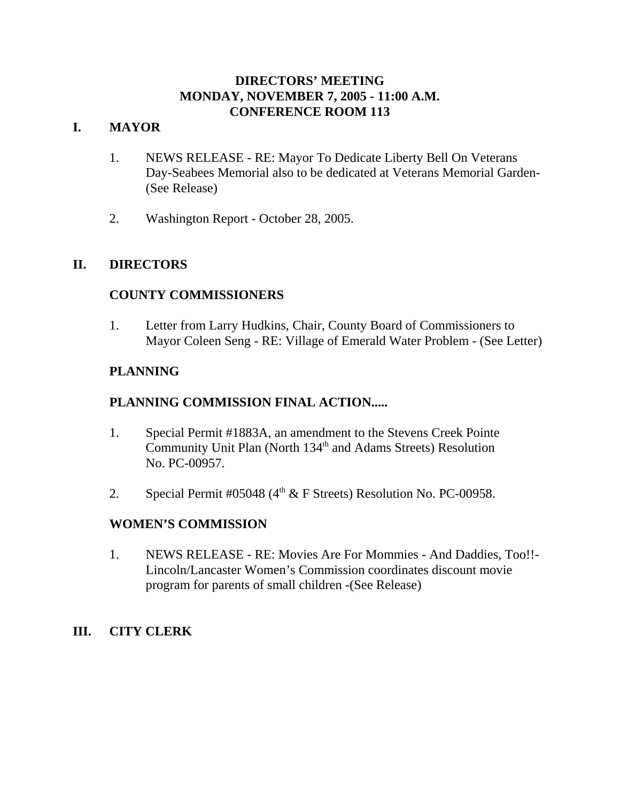## **DIRECTORS' MEETING MONDAY, NOVEMBER 7, 2005 - 11:00 A.M. CONFERENCE ROOM 113**

## **I. MAYOR**

- 1. NEWS RELEASE RE: Mayor To Dedicate Liberty Bell On Veterans Day-Seabees Memorial also to be dedicated at Veterans Memorial Garden- (See Release)
- 2. Washington Report October 28, 2005.

## **II. DIRECTORS**

## **COUNTY COMMISSIONERS**

1. Letter from Larry Hudkins, Chair, County Board of Commissioners to Mayor Coleen Seng - RE: Village of Emerald Water Problem - (See Letter)

## **PLANNING**

## **PLANNING COMMISSION FINAL ACTION.....**

- 1. Special Permit #1883A, an amendment to the Stevens Creek Pointe Community Unit Plan (North 134<sup>th</sup> and Adams Streets) Resolution No. PC-00957.
- 2. Special Permit #05048 ( $4<sup>th</sup>$  & F Streets) Resolution No. PC-00958.

## **WOMEN'S COMMISSION**

1. NEWS RELEASE - RE: Movies Are For Mommies - And Daddies, Too!!- Lincoln/Lancaster Women's Commission coordinates discount movie program for parents of small children -(See Release)

## **III. CITY CLERK**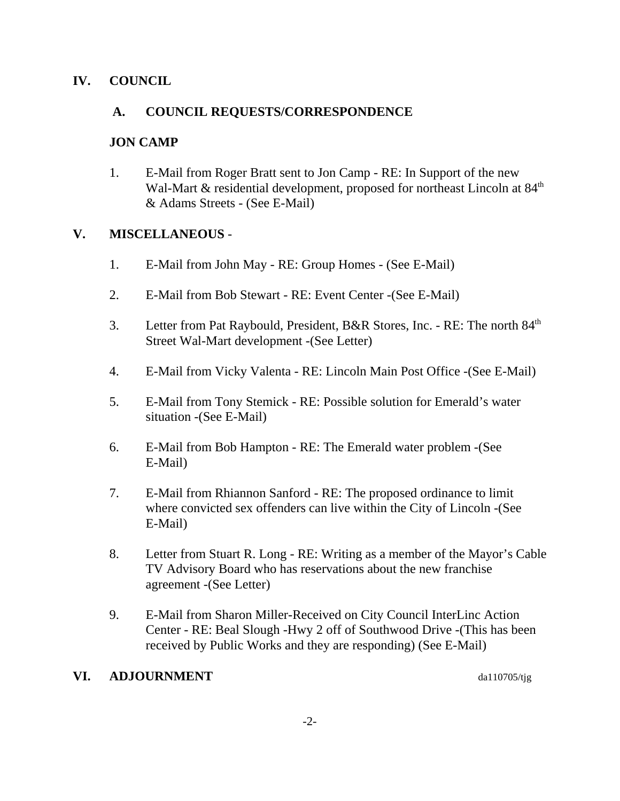## **IV. COUNCIL**

## **A. COUNCIL REQUESTS/CORRESPONDENCE**

## **JON CAMP**

1. E-Mail from Roger Bratt sent to Jon Camp - RE: In Support of the new Wal-Mart  $\&$  residential development, proposed for northeast Lincoln at  $84<sup>th</sup>$ & Adams Streets - (See E-Mail)

## **V. MISCELLANEOUS** -

- 1. E-Mail from John May RE: Group Homes (See E-Mail)
- 2. E-Mail from Bob Stewart RE: Event Center -(See E-Mail)
- 3. Letter from Pat Raybould, President, B&R Stores, Inc. RE: The north 84th Street Wal-Mart development -(See Letter)
- 4. E-Mail from Vicky Valenta RE: Lincoln Main Post Office -(See E-Mail)
- 5. E-Mail from Tony Stemick RE: Possible solution for Emerald's water situation -(See E-Mail)
- 6. E-Mail from Bob Hampton RE: The Emerald water problem -(See E-Mail)
- 7. E-Mail from Rhiannon Sanford RE: The proposed ordinance to limit where convicted sex offenders can live within the City of Lincoln -(See E-Mail)
- 8. Letter from Stuart R. Long RE: Writing as a member of the Mayor's Cable TV Advisory Board who has reservations about the new franchise agreement -(See Letter)
- 9. E-Mail from Sharon Miller-Received on City Council InterLinc Action Center - RE: Beal Slough -Hwy 2 off of Southwood Drive -(This has been received by Public Works and they are responding) (See E-Mail)

## **VI.** ADJOURNMENT da110705/tjg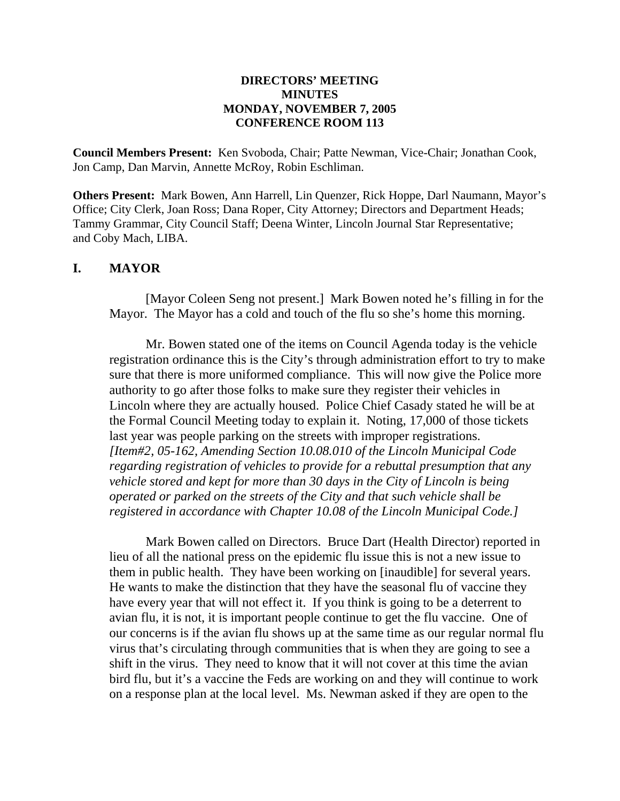#### **DIRECTORS' MEETING MINUTES MONDAY, NOVEMBER 7, 2005 CONFERENCE ROOM 113**

**Council Members Present:** Ken Svoboda, Chair; Patte Newman, Vice-Chair; Jonathan Cook, Jon Camp, Dan Marvin, Annette McRoy, Robin Eschliman.

**Others Present:** Mark Bowen, Ann Harrell, Lin Quenzer, Rick Hoppe, Darl Naumann, Mayor's Office; City Clerk, Joan Ross; Dana Roper, City Attorney; Directors and Department Heads; Tammy Grammar, City Council Staff; Deena Winter, Lincoln Journal Star Representative; and Coby Mach, LIBA.

#### **I. MAYOR**

[Mayor Coleen Seng not present.] Mark Bowen noted he's filling in for the Mayor. The Mayor has a cold and touch of the flu so she's home this morning.

Mr. Bowen stated one of the items on Council Agenda today is the vehicle registration ordinance this is the City's through administration effort to try to make sure that there is more uniformed compliance. This will now give the Police more authority to go after those folks to make sure they register their vehicles in Lincoln where they are actually housed. Police Chief Casady stated he will be at the Formal Council Meeting today to explain it. Noting, 17,000 of those tickets last year was people parking on the streets with improper registrations. *[Item#2, 05-162, Amending Section 10.08.010 of the Lincoln Municipal Code regarding registration of vehicles to provide for a rebuttal presumption that any vehicle stored and kept for more than 30 days in the City of Lincoln is being operated or parked on the streets of the City and that such vehicle shall be registered in accordance with Chapter 10.08 of the Lincoln Municipal Code.]* 

Mark Bowen called on Directors. Bruce Dart (Health Director) reported in lieu of all the national press on the epidemic flu issue this is not a new issue to them in public health. They have been working on [inaudible] for several years. He wants to make the distinction that they have the seasonal flu of vaccine they have every year that will not effect it. If you think is going to be a deterrent to avian flu, it is not, it is important people continue to get the flu vaccine. One of our concerns is if the avian flu shows up at the same time as our regular normal flu virus that's circulating through communities that is when they are going to see a shift in the virus. They need to know that it will not cover at this time the avian bird flu, but it's a vaccine the Feds are working on and they will continue to work on a response plan at the local level. Ms. Newman asked if they are open to the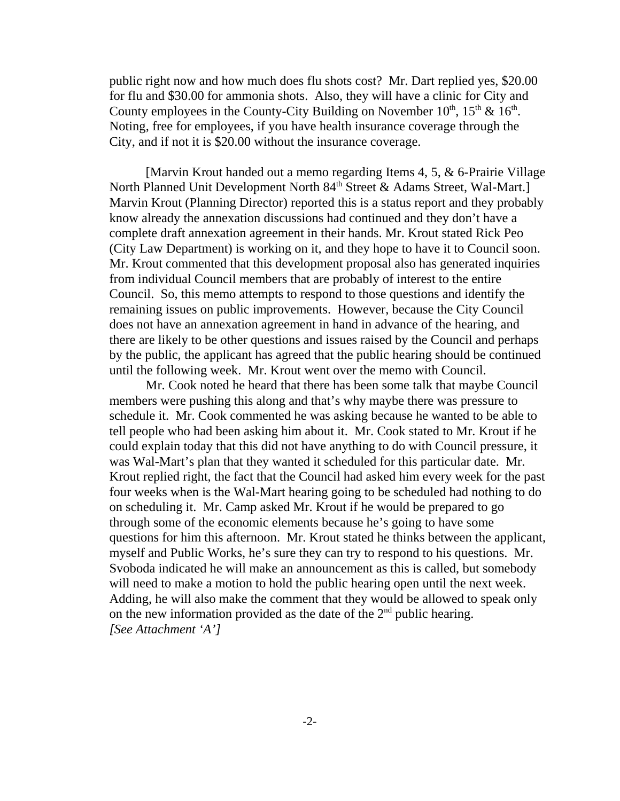public right now and how much does flu shots cost? Mr. Dart replied yes, \$20.00 for flu and \$30.00 for ammonia shots. Also, they will have a clinic for City and County employees in the County-City Building on November  $10^{th}$ ,  $15^{th}$  &  $16^{th}$ . Noting, free for employees, if you have health insurance coverage through the City, and if not it is \$20.00 without the insurance coverage.

[Marvin Krout handed out a memo regarding Items 4, 5, & 6-Prairie Village North Planned Unit Development North 84<sup>th</sup> Street & Adams Street, Wal-Mart.] Marvin Krout (Planning Director) reported this is a status report and they probably know already the annexation discussions had continued and they don't have a complete draft annexation agreement in their hands. Mr. Krout stated Rick Peo (City Law Department) is working on it, and they hope to have it to Council soon. Mr. Krout commented that this development proposal also has generated inquiries from individual Council members that are probably of interest to the entire Council. So, this memo attempts to respond to those questions and identify the remaining issues on public improvements. However, because the City Council does not have an annexation agreement in hand in advance of the hearing, and there are likely to be other questions and issues raised by the Council and perhaps by the public, the applicant has agreed that the public hearing should be continued until the following week. Mr. Krout went over the memo with Council.

Mr. Cook noted he heard that there has been some talk that maybe Council members were pushing this along and that's why maybe there was pressure to schedule it. Mr. Cook commented he was asking because he wanted to be able to tell people who had been asking him about it. Mr. Cook stated to Mr. Krout if he could explain today that this did not have anything to do with Council pressure, it was Wal-Mart's plan that they wanted it scheduled for this particular date. Mr. Krout replied right, the fact that the Council had asked him every week for the past four weeks when is the Wal-Mart hearing going to be scheduled had nothing to do on scheduling it. Mr. Camp asked Mr. Krout if he would be prepared to go through some of the economic elements because he's going to have some questions for him this afternoon. Mr. Krout stated he thinks between the applicant, myself and Public Works, he's sure they can try to respond to his questions. Mr. Svoboda indicated he will make an announcement as this is called, but somebody will need to make a motion to hold the public hearing open until the next week. Adding, he will also make the comment that they would be allowed to speak only on the new information provided as the date of the  $2<sup>nd</sup>$  public hearing. *[See Attachment 'A']*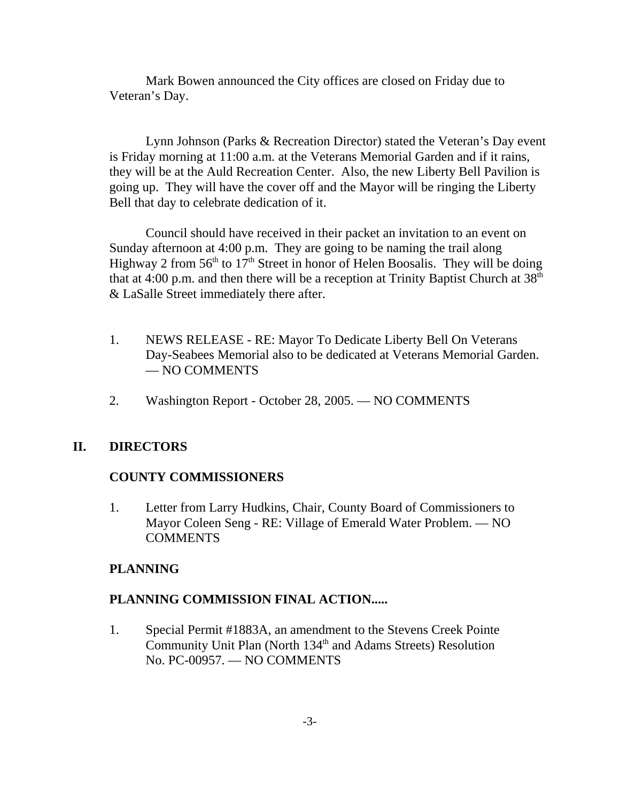Mark Bowen announced the City offices are closed on Friday due to Veteran's Day.

Lynn Johnson (Parks & Recreation Director) stated the Veteran's Day event is Friday morning at 11:00 a.m. at the Veterans Memorial Garden and if it rains, they will be at the Auld Recreation Center. Also, the new Liberty Bell Pavilion is going up. They will have the cover off and the Mayor will be ringing the Liberty Bell that day to celebrate dedication of it.

Council should have received in their packet an invitation to an event on Sunday afternoon at 4:00 p.m. They are going to be naming the trail along Highway 2 from  $56<sup>th</sup>$  to  $17<sup>th</sup>$  Street in honor of Helen Boosalis. They will be doing that at 4:00 p.m. and then there will be a reception at Trinity Baptist Church at  $38<sup>th</sup>$ & LaSalle Street immediately there after.

- 1. NEWS RELEASE RE: Mayor To Dedicate Liberty Bell On Veterans Day-Seabees Memorial also to be dedicated at Veterans Memorial Garden. — NO COMMENTS
- 2. Washington Report October 28, 2005. NO COMMENTS

## **II. DIRECTORS**

## **COUNTY COMMISSIONERS**

1. Letter from Larry Hudkins, Chair, County Board of Commissioners to Mayor Coleen Seng - RE: Village of Emerald Water Problem. — NO **COMMENTS** 

## **PLANNING**

## **PLANNING COMMISSION FINAL ACTION.....**

1. Special Permit #1883A, an amendment to the Stevens Creek Pointe Community Unit Plan (North 134<sup>th</sup> and Adams Streets) Resolution No. PC-00957. — NO COMMENTS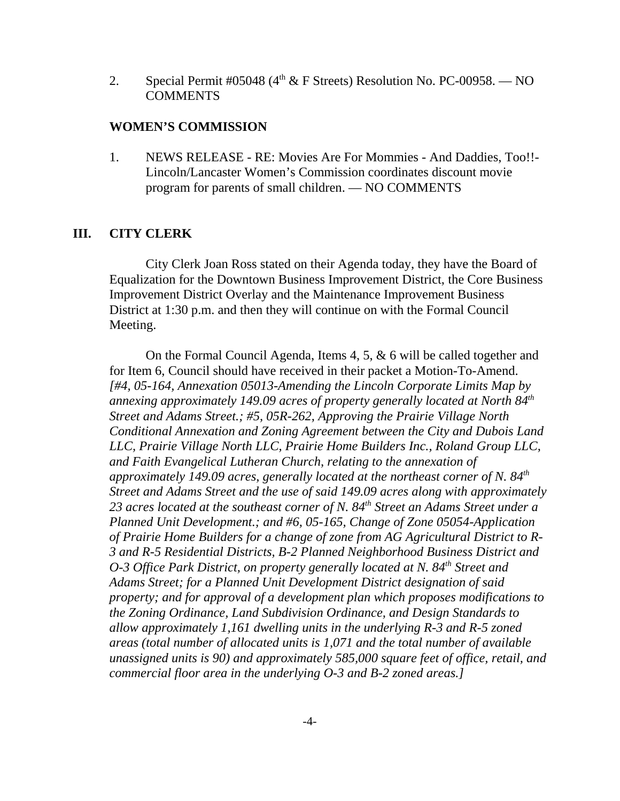2. Special Permit #05048 ( $4<sup>th</sup>$  & F Streets) Resolution No. PC-00958. - NO COMMENTS

#### **WOMEN'S COMMISSION**

1. NEWS RELEASE - RE: Movies Are For Mommies - And Daddies, Too!!- Lincoln/Lancaster Women's Commission coordinates discount movie program for parents of small children. — NO COMMENTS

#### **III. CITY CLERK**

City Clerk Joan Ross stated on their Agenda today, they have the Board of Equalization for the Downtown Business Improvement District, the Core Business Improvement District Overlay and the Maintenance Improvement Business District at 1:30 p.m. and then they will continue on with the Formal Council Meeting.

On the Formal Council Agenda, Items 4, 5, & 6 will be called together and for Item 6, Council should have received in their packet a Motion-To-Amend. *[#4, 05-164, Annexation 05013-Amending the Lincoln Corporate Limits Map by annexing approximately 149.09 acres of property generally located at North 84th Street and Adams Street.; #5, 05R-262, Approving the Prairie Village North Conditional Annexation and Zoning Agreement between the City and Dubois Land LLC, Prairie Village North LLC, Prairie Home Builders Inc., Roland Group LLC, and Faith Evangelical Lutheran Church, relating to the annexation of approximately 149.09 acres, generally located at the northeast corner of N. 84th Street and Adams Street and the use of said 149.09 acres along with approximately 23 acres located at the southeast corner of N. 84th Street an Adams Street under a Planned Unit Development.; and #6, 05-165, Change of Zone 05054-Application of Prairie Home Builders for a change of zone from AG Agricultural District to R-3 and R-5 Residential Districts, B-2 Planned Neighborhood Business District and O-3 Office Park District, on property generally located at N. 84<sup>th</sup> Street and Adams Street; for a Planned Unit Development District designation of said property; and for approval of a development plan which proposes modifications to the Zoning Ordinance, Land Subdivision Ordinance, and Design Standards to allow approximately 1,161 dwelling units in the underlying R-3 and R-5 zoned areas (total number of allocated units is 1,071 and the total number of available unassigned units is 90) and approximately 585,000 square feet of office, retail, and commercial floor area in the underlying O-3 and B-2 zoned areas.]*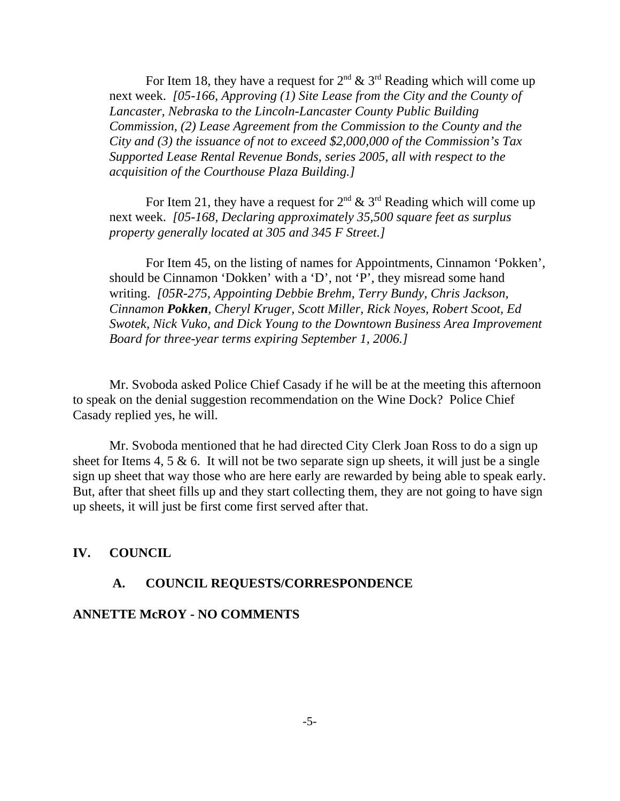For Item 18, they have a request for  $2^{nd} \& 3^{rd}$  Reading which will come up next week. *[05-166, Approving (1) Site Lease from the City and the County of Lancaster, Nebraska to the Lincoln-Lancaster County Public Building Commission, (2) Lease Agreement from the Commission to the County and the City and (3) the issuance of not to exceed \$2,000,000 of the Commission's Tax Supported Lease Rental Revenue Bonds, series 2005, all with respect to the acquisition of the Courthouse Plaza Building.]*

For Item 21, they have a request for  $2<sup>nd</sup>$  &  $3<sup>rd</sup>$  Reading which will come up next week. *[05-168, Declaring approximately 35,500 square feet as surplus property generally located at 305 and 345 F Street.]* 

For Item 45, on the listing of names for Appointments, Cinnamon 'Pokken', should be Cinnamon 'Dokken' with a 'D', not 'P', they misread some hand writing. *[05R-275, Appointing Debbie Brehm, Terry Bundy, Chris Jackson, Cinnamon Pokken, Cheryl Kruger, Scott Miller, Rick Noyes, Robert Scoot, Ed Swotek, Nick Vuko, and Dick Young to the Downtown Business Area Improvement Board for three-year terms expiring September 1, 2006.]* 

Mr. Svoboda asked Police Chief Casady if he will be at the meeting this afternoon to speak on the denial suggestion recommendation on the Wine Dock? Police Chief Casady replied yes, he will.

Mr. Svoboda mentioned that he had directed City Clerk Joan Ross to do a sign up sheet for Items 4, 5  $\&$  6. It will not be two separate sign up sheets, it will just be a single sign up sheet that way those who are here early are rewarded by being able to speak early. But, after that sheet fills up and they start collecting them, they are not going to have sign up sheets, it will just be first come first served after that.

## **IV. COUNCIL**

## **A. COUNCIL REQUESTS/CORRESPONDENCE**

## **ANNETTE McROY - NO COMMENTS**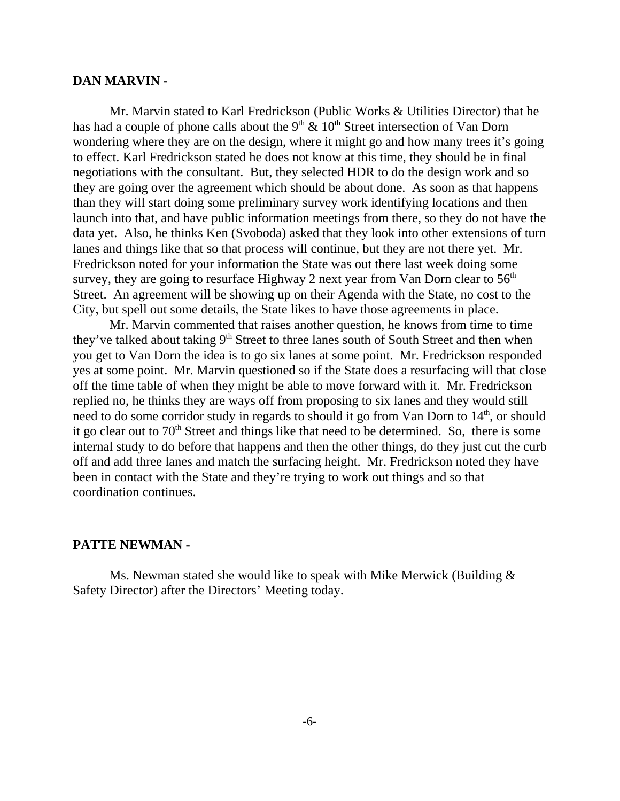#### **DAN MARVIN -**

Mr. Marvin stated to Karl Fredrickson (Public Works & Utilities Director) that he has had a couple of phone calls about the  $9<sup>th</sup>$  &  $10<sup>th</sup>$  Street intersection of Van Dorn wondering where they are on the design, where it might go and how many trees it's going to effect. Karl Fredrickson stated he does not know at this time, they should be in final negotiations with the consultant. But, they selected HDR to do the design work and so they are going over the agreement which should be about done. As soon as that happens than they will start doing some preliminary survey work identifying locations and then launch into that, and have public information meetings from there, so they do not have the data yet. Also, he thinks Ken (Svoboda) asked that they look into other extensions of turn lanes and things like that so that process will continue, but they are not there yet. Mr. Fredrickson noted for your information the State was out there last week doing some survey, they are going to resurface Highway 2 next year from Van Dorn clear to  $56<sup>th</sup>$ Street. An agreement will be showing up on their Agenda with the State, no cost to the City, but spell out some details, the State likes to have those agreements in place.

Mr. Marvin commented that raises another question, he knows from time to time they've talked about taking  $9<sup>th</sup>$  Street to three lanes south of South Street and then when you get to Van Dorn the idea is to go six lanes at some point. Mr. Fredrickson responded yes at some point. Mr. Marvin questioned so if the State does a resurfacing will that close off the time table of when they might be able to move forward with it. Mr. Fredrickson replied no, he thinks they are ways off from proposing to six lanes and they would still need to do some corridor study in regards to should it go from Van Dorn to 14<sup>th</sup>, or should it go clear out to  $70<sup>th</sup>$  Street and things like that need to be determined. So, there is some internal study to do before that happens and then the other things, do they just cut the curb off and add three lanes and match the surfacing height. Mr. Fredrickson noted they have been in contact with the State and they're trying to work out things and so that coordination continues.

#### **PATTE NEWMAN -**

Ms. Newman stated she would like to speak with Mike Merwick (Building & Safety Director) after the Directors' Meeting today.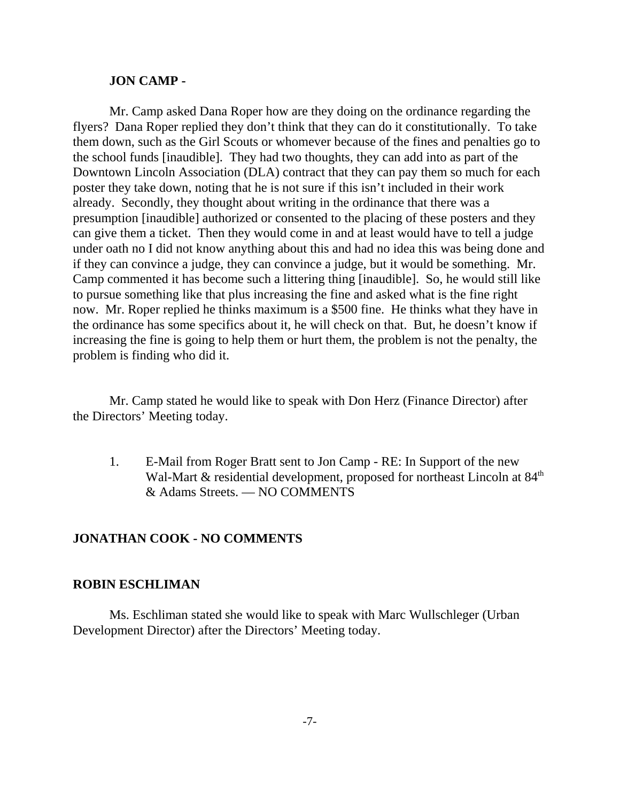#### **JON CAMP -**

Mr. Camp asked Dana Roper how are they doing on the ordinance regarding the flyers? Dana Roper replied they don't think that they can do it constitutionally. To take them down, such as the Girl Scouts or whomever because of the fines and penalties go to the school funds [inaudible]. They had two thoughts, they can add into as part of the Downtown Lincoln Association (DLA) contract that they can pay them so much for each poster they take down, noting that he is not sure if this isn't included in their work already. Secondly, they thought about writing in the ordinance that there was a presumption [inaudible] authorized or consented to the placing of these posters and they can give them a ticket. Then they would come in and at least would have to tell a judge under oath no I did not know anything about this and had no idea this was being done and if they can convince a judge, they can convince a judge, but it would be something. Mr. Camp commented it has become such a littering thing [inaudible]. So, he would still like to pursue something like that plus increasing the fine and asked what is the fine right now. Mr. Roper replied he thinks maximum is a \$500 fine. He thinks what they have in the ordinance has some specifics about it, he will check on that. But, he doesn't know if increasing the fine is going to help them or hurt them, the problem is not the penalty, the problem is finding who did it.

Mr. Camp stated he would like to speak with Don Herz (Finance Director) after the Directors' Meeting today.

1. E-Mail from Roger Bratt sent to Jon Camp - RE: In Support of the new Wal-Mart  $\&$  residential development, proposed for northeast Lincoln at  $84<sup>th</sup>$ & Adams Streets. — NO COMMENTS

#### **JONATHAN COOK - NO COMMENTS**

#### **ROBIN ESCHLIMAN**

Ms. Eschliman stated she would like to speak with Marc Wullschleger (Urban Development Director) after the Directors' Meeting today.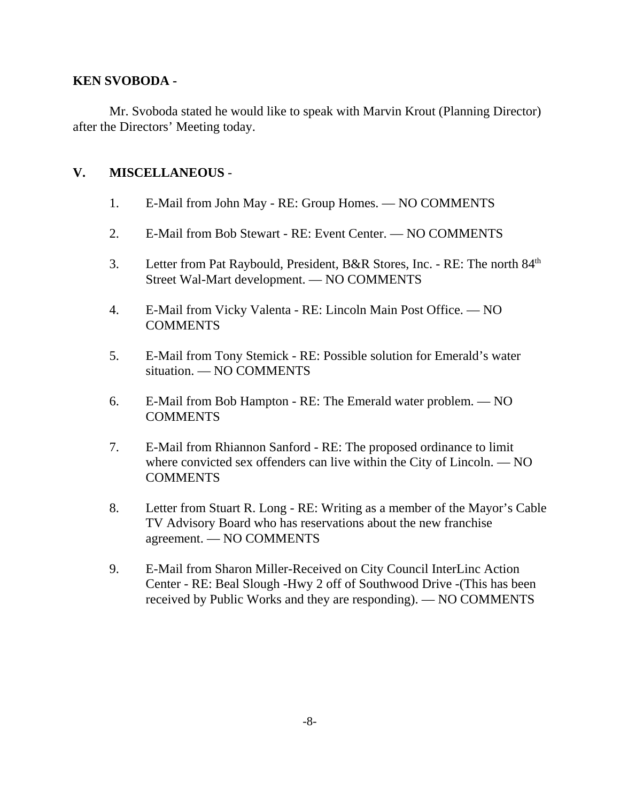## **KEN SVOBODA -**

Mr. Svoboda stated he would like to speak with Marvin Krout (Planning Director) after the Directors' Meeting today.

## **V. MISCELLANEOUS** -

- 1. E-Mail from John May RE: Group Homes. NO COMMENTS
- 2. E-Mail from Bob Stewart RE: Event Center. NO COMMENTS
- 3. Letter from Pat Raybould, President, B&R Stores, Inc. RE: The north 84<sup>th</sup> Street Wal-Mart development. — NO COMMENTS
- 4. E-Mail from Vicky Valenta RE: Lincoln Main Post Office. NO **COMMENTS**
- 5. E-Mail from Tony Stemick RE: Possible solution for Emerald's water situation. — NO COMMENTS
- 6. E-Mail from Bob Hampton RE: The Emerald water problem. NO **COMMENTS**
- 7. E-Mail from Rhiannon Sanford RE: The proposed ordinance to limit where convicted sex offenders can live within the City of Lincoln. — NO **COMMENTS**
- 8. Letter from Stuart R. Long RE: Writing as a member of the Mayor's Cable TV Advisory Board who has reservations about the new franchise agreement. — NO COMMENTS
- 9. E-Mail from Sharon Miller-Received on City Council InterLinc Action Center - RE: Beal Slough -Hwy 2 off of Southwood Drive -(This has been received by Public Works and they are responding). — NO COMMENTS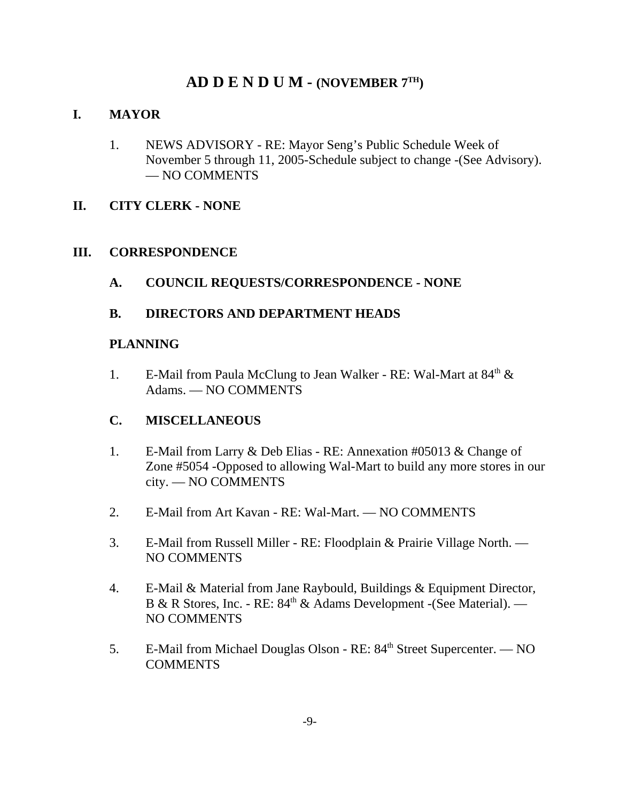# **AD D E N D U M - (NOVEMBER 7TH)**

# **I. MAYOR**

1. NEWS ADVISORY - RE: Mayor Seng's Public Schedule Week of November 5 through 11, 2005-Schedule subject to change -(See Advisory). — NO COMMENTS

## **II. CITY CLERK - NONE**

## **III. CORRESPONDENCE**

**A. COUNCIL REQUESTS/CORRESPONDENCE - NONE**

## **B. DIRECTORS AND DEPARTMENT HEADS**

## **PLANNING**

1. E-Mail from Paula McClung to Jean Walker - RE: Wal-Mart at  $84<sup>th</sup> \&$ Adams. — NO COMMENTS

## **C. MISCELLANEOUS**

- 1. E-Mail from Larry & Deb Elias RE: Annexation #05013 & Change of Zone #5054 -Opposed to allowing Wal-Mart to build any more stores in our city. — NO COMMENTS
- 2. E-Mail from Art Kavan RE: Wal-Mart. NO COMMENTS
- 3. E-Mail from Russell Miller RE: Floodplain & Prairie Village North. NO COMMENTS
- 4. E-Mail & Material from Jane Raybould, Buildings & Equipment Director, B & R Stores, Inc. - RE:  $84<sup>th</sup>$  & Adams Development -(See Material). — NO COMMENTS
- 5. E-Mail from Michael Douglas Olson RE: 84<sup>th</sup> Street Supercenter. NO COMMENTS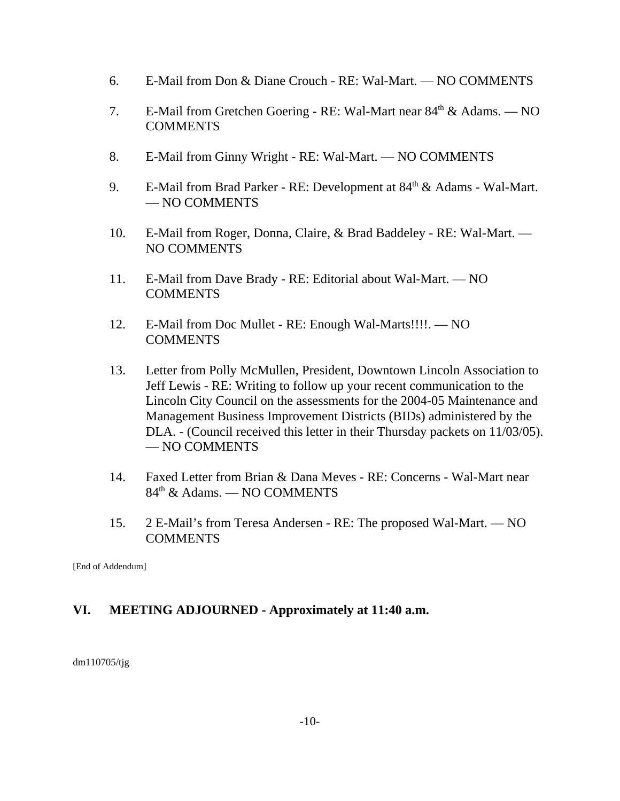- 6. E-Mail from Don & Diane Crouch RE: Wal-Mart. NO COMMENTS
- 7. E-Mail from Gretchen Goering RE: Wal-Mart near  $84<sup>th</sup>$  & Adams. NO COMMENTS
- 8. E-Mail from Ginny Wright RE: Wal-Mart. NO COMMENTS
- 9. E-Mail from Brad Parker RE: Development at 84<sup>th</sup> & Adams Wal-Mart. — NO COMMENTS
- 10. E-Mail from Roger, Donna, Claire, & Brad Baddeley RE: Wal-Mart. NO COMMENTS
- 11. E-Mail from Dave Brady RE: Editorial about Wal-Mart. NO COMMENTS
- 12. E-Mail from Doc Mullet RE: Enough Wal-Marts!!!!. NO **COMMENTS**
- 13. Letter from Polly McMullen, President, Downtown Lincoln Association to Jeff Lewis - RE: Writing to follow up your recent communication to the Lincoln City Council on the assessments for the 2004-05 Maintenance and Management Business Improvement Districts (BIDs) administered by the DLA. - (Council received this letter in their Thursday packets on 11/03/05). — NO COMMENTS
- 14. Faxed Letter from Brian & Dana Meves RE: Concerns Wal-Mart near 84th & Adams. — NO COMMENTS
- 15. 2 E-Mail's from Teresa Andersen RE: The proposed Wal-Mart. NO COMMENTS

[End of Addendum]

# **VI. MEETING ADJOURNED - Approximately at 11:40 a.m.**

dm110705/tjg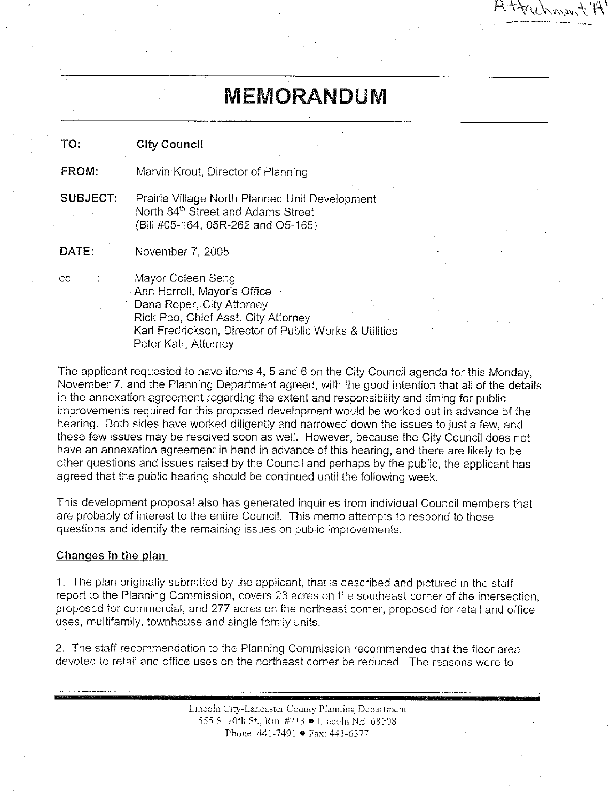# **MEMORANDUM**

ttachman

| TO:      | <b>City Council</b>                                                                                                                                                                                    |
|----------|--------------------------------------------------------------------------------------------------------------------------------------------------------------------------------------------------------|
| FROM:    | Marvin Krout, Director of Planning                                                                                                                                                                     |
| SUBJECT: | Prairie Village North Planned Unit Development<br>North 84 <sup>th</sup> Street and Adams Street<br>(Bill #05-164, 05R-262 and O5-165)                                                                 |
| DATE:    | November 7, 2005                                                                                                                                                                                       |
| CC       | Mayor Coleen Seng<br>Ann Harrell, Mayor's Office<br>Dana Roper, City Attorney<br>Rick Peo, Chief Asst. City Attorney<br>Karl Fredrickson, Director of Public Works & Utilities<br>Peter Katt. Attornev |

The applicant requested to have items 4, 5 and 6 on the City Council agenda for this Monday. November 7, and the Planning Department agreed, with the good intention that all of the details in the annexation agreement regarding the extent and responsibility and timing for public improvements required for this proposed development would be worked out in advance of the hearing. Both sides have worked diligently and narrowed down the issues to just a few, and these few issues may be resolved soon as well. However, because the City Council does not have an annexation agreement in hand in advance of this hearing, and there are likely to be other questions and issues raised by the Council and perhaps by the public, the applicant has agreed that the public hearing should be continued until the following week.

This development proposal also has generated inquiries from individual Council members that are probably of interest to the entire Council. This memo attempts to respond to those questions and identify the remaining issues on public improvements.

#### Changes in the plan

1. The plan originally submitted by the applicant, that is described and pictured in the staff report to the Planning Commission, covers 23 acres on the southeast corner of the intersection, proposed for commercial, and 277 acres on the northeast corner, proposed for retail and office uses, multifamily, townhouse and single family units.

2. The staff recommendation to the Planning Commission recommended that the floor area devoted to retail and office uses on the northeast corner be reduced. The reasons were to

> Lincoln City-Lancaster County Planning Department 555 S. 10th St., Rm. #213 • Lincoln NE 68508 Phone: 441-7491 • Fax: 441-6377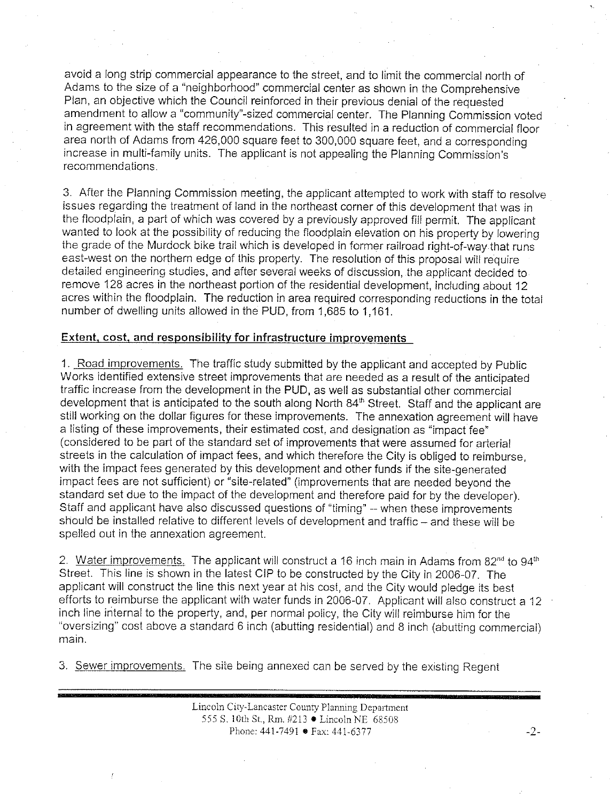avoid a long strip commercial appearance to the street, and to limit the commercial north of Adams to the size of a "neighborhood" commercial center as shown in the Comprehensive Plan, an objective which the Council reinforced in their previous denial of the requested amendment to allow a "community"-sized commercial center. The Planning Commission voted in agreement with the staff recommendations. This resulted in a reduction of commercial floor area north of Adams from 426,000 square feet to 300,000 square feet, and a corresponding increase in multi-family units. The applicant is not appealing the Planning Commission's **recommendations** 

3. After the Planning Commission meeting, the applicant attempted to work with staff to resolve issues regarding the treatment of land in the northeast corner of this development that was in the floodplain, a part of which was covered by a previously approved fill permit. The applicant wanted to look at the possibility of reducing the floodplain elevation on his property by lowering the grade of the Murdock bike trail which is developed in former railroad right-of-way that runs east-west on the northern edge of this property. The resolution of this proposal will require detailed engineering studies, and after several weeks of discussion, the applicant decided to remove 128 acres in the northeast portion of the residential development, including about 12 acres within the floodplain. The reduction in area required corresponding reductions in the total number of dwelling units allowed in the PUD, from 1,685 to 1,161.

#### Extent, cost, and responsibility for infrastructure improvements

1. Road improvements. The traffic study submitted by the applicant and accepted by Public Works identified extensive street improvements that are needed as a result of the anticipated traffic increase from the development in the PUD, as well as substantial other commercial development that is anticipated to the south along North 84th Street. Staff and the applicant are still working on the dollar figures for these improvements. The annexation agreement will have a listing of these improvements, their estimated cost, and designation as "impact fee" (considered to be part of the standard set of improvements that were assumed for arterial streets in the calculation of impact fees, and which therefore the City is obliged to reimburse, with the impact fees generated by this development and other funds if the site-generated impact fees are not sufficient) or "site-related" (improvements that are needed beyond the standard set due to the impact of the development and therefore paid for by the developer). Staff and applicant have also discussed questions of "timing" -- when these improvements should be installed relative to different levels of development and traffic - and these will be spelled out in the annexation agreement.

2. Water improvements. The applicant will construct a 16 inch main in Adams from 82<sup>nd</sup> to 94<sup>th</sup> Street. This line is shown in the latest CIP to be constructed by the City in 2006-07. The applicant will construct the line this next year at his cost, and the City would pledge its best efforts to reimburse the applicant with water funds in 2006-07. Applicant will also construct a 12 inch line internal to the property, and, per normal policy, the City will reimburse him for the "oversizing" cost above a standard 6 inch (abutting residential) and 8 inch (abutting commercial) main.

3. Sewer improvements. The site being annexed can be served by the existing Regent

Lincoln City-Lancaster County Planning Department 555 S. 10th St., Rm. #213 • Lincoln NE 68508 Phone: 441-7491 • Fax: 441-6377

 $-2-$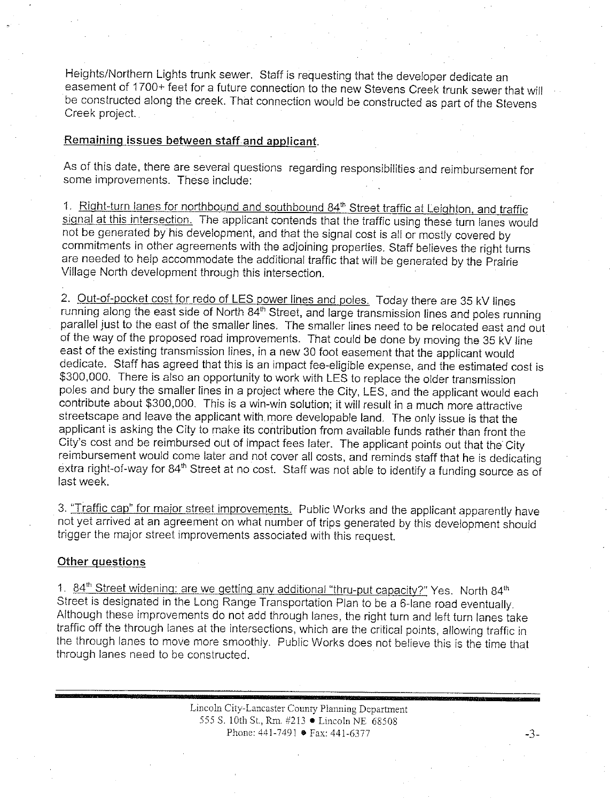Heights/Northern Lights trunk sewer. Staff is requesting that the developer dedicate an easement of 1700+ feet for a future connection to the new Stevens Creek trunk sewer that will be constructed along the creek. That connection would be constructed as part of the Stevens Creek project.

#### Remaining issues between staff and applicant.

As of this date, there are several questions regarding responsibilities and reimbursement for some improvements. These include:

1. Right-turn lanes for northbound and southbound 84<sup>th</sup> Street traffic at Leighton, and traffic signal at this intersection. The applicant contends that the traffic using these turn lanes would not be generated by his development, and that the signal cost is all or mostly covered by commitments in other agreements with the adjoining properties. Staff believes the right turns are needed to help accommodate the additional traffic that will be generated by the Prairie Village North development through this intersection.

2. Out-of-pocket cost for redo of LES power lines and poles. Today there are 35 kV lines running along the east side of North 84<sup>th</sup> Street, and large transmission lines and poles running parallel just to the east of the smaller lines. The smaller lines need to be relocated east and out of the way of the proposed road improvements. That could be done by moving the 35 kV line east of the existing transmission lines, in a new 30 foot easement that the applicant would dedicate. Staff has agreed that this is an impact fee-eligible expense, and the estimated cost is \$300,000. There is also an opportunity to work with LES to replace the older transmission poles and bury the smaller lines in a project where the City, LES, and the applicant would each contribute about \$300,000. This is a win-win solution; it will result in a much more attractive streetscape and leave the applicant with more developable land. The only issue is that the applicant is asking the City to make its contribution from available funds rather than front the City's cost and be reimbursed out of impact fees later. The applicant points out that the City reimbursement would come later and not cover all costs, and reminds staff that he is dedicating extra right-of-way for 84<sup>th</sup> Street at no cost. Staff was not able to identify a funding source as of last week.

3. "Traffic cap" for major street improvements. Public Works and the applicant apparently have not yet arrived at an agreement on what number of trips generated by this development should trigger the major street improvements associated with this request.

#### Other questions

1. 84<sup>th</sup> Street widening: are we getting any additional "thru-put capacity?" Yes. North 84<sup>th</sup> Street is designated in the Long Range Transportation Plan to be a 6-lane road eventually. Although these improvements do not add through lanes, the right turn and left turn lanes take traffic off the through lanes at the intersections, which are the critical points, allowing traffic in the through lanes to move more smoothly. Public Works does not believe this is the time that through lanes need to be constructed.

> Lincoln City-Lancaster County Planning Department 555 S. 10th St., Rm. #213 • Lincoln NE 68508 Phone: 441-7491 • Fax: 441-6377

 $-3-$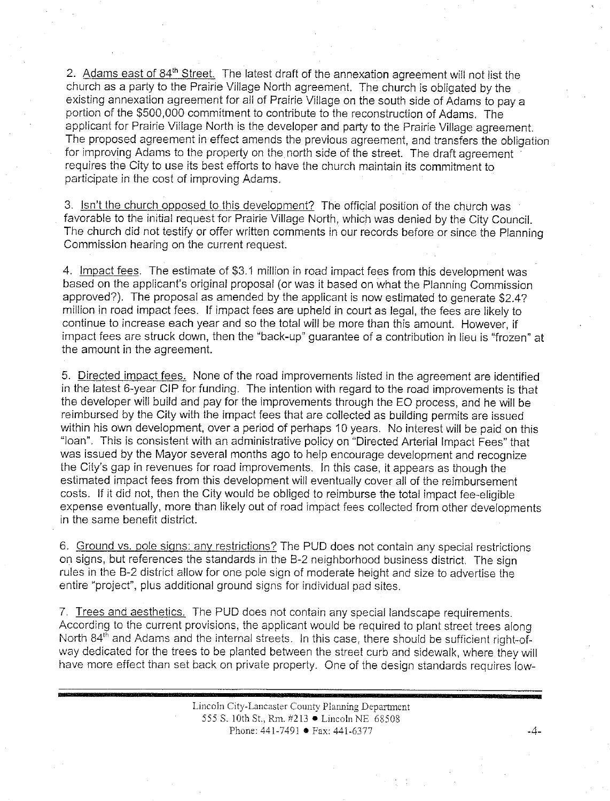2. Adams east of 84<sup>th</sup> Street. The latest draft of the annexation agreement will not list the church as a party to the Prairie Village North agreement. The church is obligated by the existing annexation agreement for all of Prairie Village on the south side of Adams to pay a portion of the \$500,000 commitment to contribute to the reconstruction of Adams. The applicant for Prairie Village North is the developer and party to the Prairie Village agreement. The proposed agreement in effect amends the previous agreement, and transfers the obligation for improving Adams to the property on the north side of the street. The draft agreement requires the City to use its best efforts to have the church maintain its commitment to participate in the cost of improving Adams.

3. Isn't the church opposed to this development? The official position of the church was favorable to the initial request for Prairie Village North, which was denied by the City Council. The church did not testify or offer written comments in our records before or since the Planning Commission hearing on the current request.

4. Impact fees. The estimate of \$3.1 million in road impact fees from this development was based on the applicant's original proposal (or was it based on what the Planning Commission approved?). The proposal as amended by the applicant is now estimated to generate \$2.4? million in road impact fees. If impact fees are upheld in court as legal, the fees are likely to continue to increase each year and so the total will be more than this amount. However, if impact fees are struck down, then the "back-up" guarantee of a contribution in lieu is "frozen" at the amount in the agreement.

5. Directed impact fees. None of the road improvements listed in the agreement are identified in the latest 6-year CIP for funding. The intention with regard to the road improvements is that the developer will build and pay for the improvements through the EO process, and he will be reimbursed by the City with the impact fees that are collected as building permits are issued within his own development, over a period of perhaps 10 years. No interest will be paid on this "loan". This is consistent with an administrative policy on "Directed Arterial Impact Fees" that was issued by the Mayor several months ago to help encourage development and recognize the City's gap in revenues for road improvements. In this case, it appears as though the estimated impact fees from this development will eventually cover all of the reimbursement costs. If it did not, then the City would be obliged to reimburse the total impact fee-eligible expense eventually, more than likely out of road impact fees collected from other developments in the same benefit district.

6. Ground vs. pole signs: any restrictions? The PUD does not contain any special restrictions on signs, but references the standards in the B-2 neighborhood business district. The sign rules in the B-2 district allow for one pole sign of moderate height and size to advertise the entire "project", plus additional ground signs for individual pad sites.

7. Trees and aesthetics. The PUD does not contain any special landscape requirements. According to the current provisions, the applicant would be required to plant street trees along North 84<sup>th</sup> and Adams and the internal streets. In this case, there should be sufficient right-ofway dedicated for the trees to be planted between the street curb and sidewalk, where they will have more effect than set back on private property. One of the design standards requires low-

> Lincoln City-Lancaster County Planning Department 555 S. 10th St., Rm. #213 • Lincoln NE 68508 Phone: 441-7491 ● Fax: 441-6377

.4.